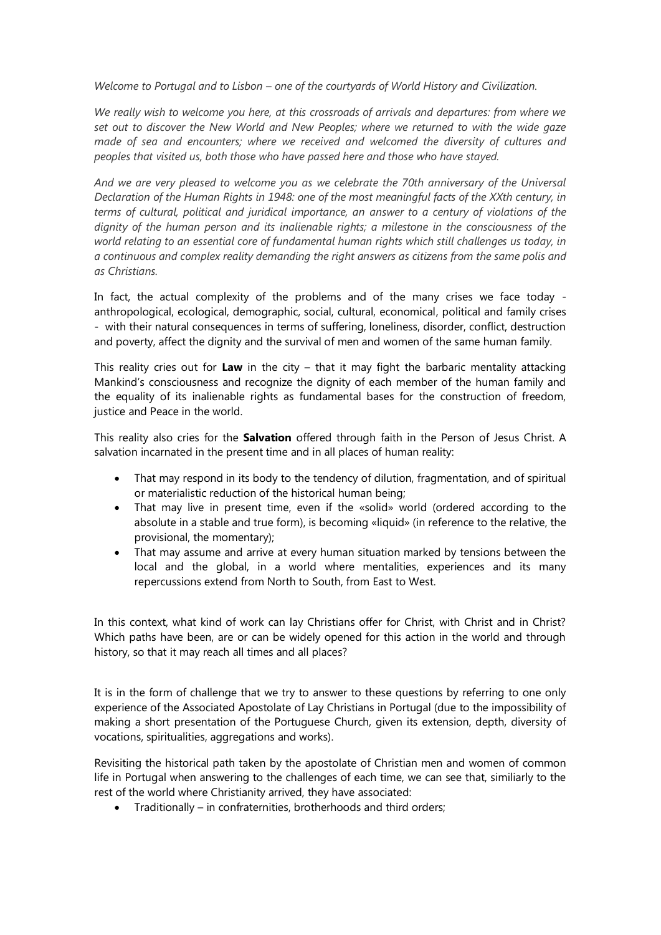*Welcome to Portugal and to Lisbon – one of the courtyards of World History and Civilization.* 

*We really wish to welcome you here, at this crossroads of arrivals and departures: from where we set out to discover the New World and New Peoples; where we returned to with the wide gaze made of sea and encounters; where we received and welcomed the diversity of cultures and peoples that visited us, both those who have passed here and those who have stayed.*

*And we are very pleased to welcome you as we celebrate the 70th anniversary of the Universal Declaration of the Human Rights in 1948: one of the most meaningful facts of the XXth century, in terms of cultural, political and juridical importance, an answer to a century of violations of the dignity of the human person and its inalienable rights; a milestone in the consciousness of the world relating to an essential core of fundamental human rights which still challenges us today, in a continuous and complex reality demanding the right answers as citizens from the same polis and as Christians.* 

In fact, the actual complexity of the problems and of the many crises we face today anthropological, ecological, demographic, social, cultural, economical, political and family crises - with their natural consequences in terms of suffering, loneliness, disorder, conflict, destruction and poverty, affect the dignity and the survival of men and women of the same human family.

This reality cries out for **Law** in the city – that it may fight the barbaric mentality attacking Mankind's consciousness and recognize the dignity of each member of the human family and the equality of its inalienable rights as fundamental bases for the construction of freedom, justice and Peace in the world.

This reality also cries for the **Salvation** offered through faith in the Person of Jesus Christ. A salvation incarnated in the present time and in all places of human reality:

- That may respond in its body to the tendency of dilution, fragmentation, and of spiritual or materialistic reduction of the historical human being;
- That may live in present time, even if the «solid» world (ordered according to the absolute in a stable and true form), is becoming «liquid» (in reference to the relative, the provisional, the momentary);
- That may assume and arrive at every human situation marked by tensions between the local and the global, in a world where mentalities, experiences and its many repercussions extend from North to South, from East to West.

In this context, what kind of work can lay Christians offer for Christ, with Christ and in Christ? Which paths have been, are or can be widely opened for this action in the world and through history, so that it may reach all times and all places?

It is in the form of challenge that we try to answer to these questions by referring to one only experience of the Associated Apostolate of Lay Christians in Portugal (due to the impossibility of making a short presentation of the Portuguese Church, given its extension, depth, diversity of vocations, spiritualities, aggregations and works).

Revisiting the historical path taken by the apostolate of Christian men and women of common life in Portugal when answering to the challenges of each time, we can see that, similiarly to the rest of the world where Christianity arrived, they have associated:

• Traditionally – in confraternities, brotherhoods and third orders;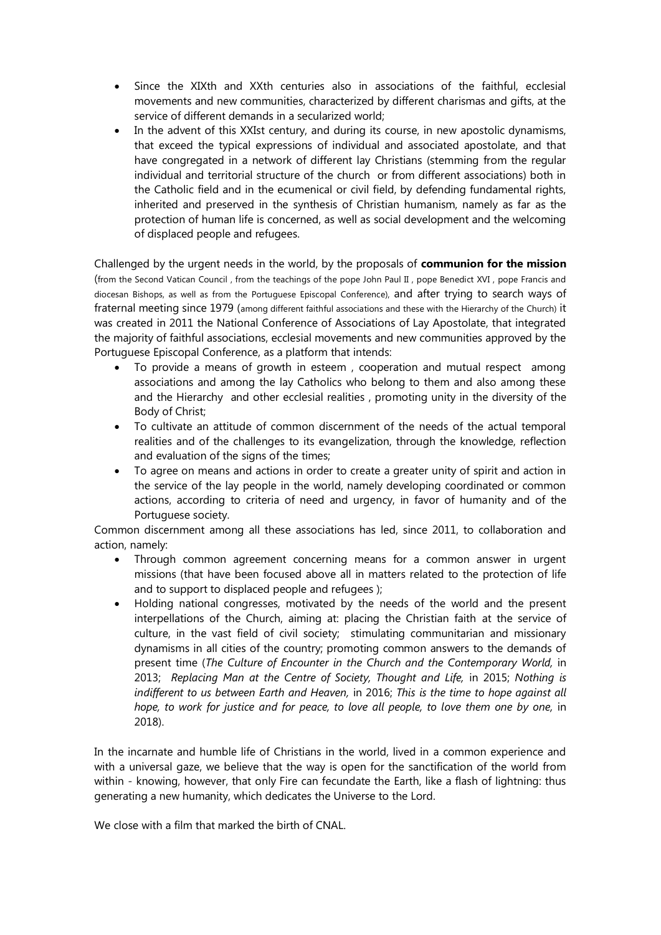- Since the XIXth and XXth centuries also in associations of the faithful, ecclesial movements and new communities, characterized by different charismas and gifts, at the service of different demands in a secularized world;
- In the advent of this XXIst century, and during its course, in new apostolic dynamisms, that exceed the typical expressions of individual and associated apostolate, and that have congregated in a network of different lay Christians (stemming from the regular individual and territorial structure of the church or from different associations) both in the Catholic field and in the ecumenical or civil field, by defending fundamental rights, inherited and preserved in the synthesis of Christian humanism, namely as far as the protection of human life is concerned, as well as social development and the welcoming of displaced people and refugees.

Challenged by the urgent needs in the world, by the proposals of **communion for the mission** (from the Second Vatican Council , from the teachings of the pope John Paul II , pope Benedict XVI , pope Francis and diocesan Bishops, as well as from the Portuguese Episcopal Conference), and after trying to search ways of fraternal meeting since 1979 (among different faithful associations and these with the Hierarchy of the Church) it was created in 2011 the National Conference of Associations of Lay Apostolate, that integrated the majority of faithful associations, ecclesial movements and new communities approved by the Portuguese Episcopal Conference, as a platform that intends:

- To provide a means of growth in esteem , cooperation and mutual respect among associations and among the lay Catholics who belong to them and also among these and the Hierarchy and other ecclesial realities , promoting unity in the diversity of the Body of Christ;
- To cultivate an attitude of common discernment of the needs of the actual temporal realities and of the challenges to its evangelization, through the knowledge, reflection and evaluation of the signs of the times;
- To agree on means and actions in order to create a greater unity of spirit and action in the service of the lay people in the world, namely developing coordinated or common actions, according to criteria of need and urgency, in favor of humanity and of the Portuguese society.

Common discernment among all these associations has led, since 2011, to collaboration and action, namely:

- Through common agreement concerning means for a common answer in urgent missions (that have been focused above all in matters related to the protection of life and to support to displaced people and refugees );
- Holding national congresses, motivated by the needs of the world and the present interpellations of the Church, aiming at: placing the Christian faith at the service of culture, in the vast field of civil society; stimulating communitarian and missionary dynamisms in all cities of the country; promoting common answers to the demands of present time (*The Culture of Encounter in the Church and the Contemporary World,* in 2013; *Replacing Man at the Centre of Society, Thought and Life,* in 2015; *Nothing is indifferent to us between Earth and Heaven,* in 2016; *This is the time to hope against all hope, to work for justice and for peace, to love all people, to love them one by one, in* 2018).

In the incarnate and humble life of Christians in the world, lived in a common experience and with a universal gaze, we believe that the way is open for the sanctification of the world from within - knowing, however, that only Fire can fecundate the Earth, like a flash of lightning: thus generating a new humanity, which dedicates the Universe to the Lord.

We close with a film that marked the birth of CNAL.